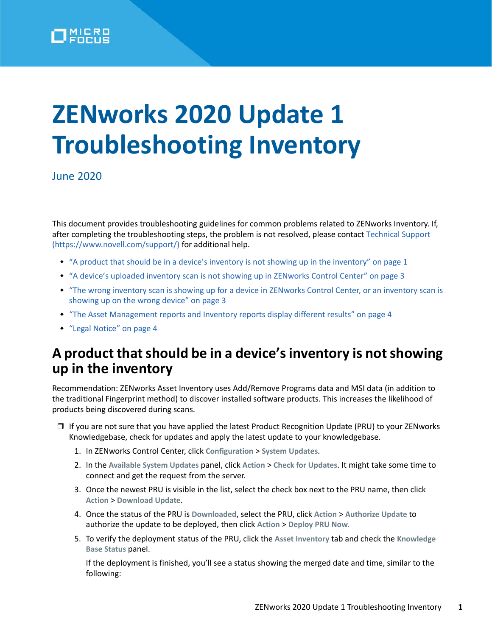

# **ZENworks 2020 Update 1 Troubleshooting Inventory**

June 2020

This document provides troubleshooting guidelines for common problems related to ZENworks Inventory. If, after completing the troubleshooting steps, the problem is not resolved, please contact [Technical Support](https://www.novell.com/support/)  (https://www.novell.com/support/) for additional help.

- ["A product that should be in a device's inventory is not showing up in the inventory" on page 1](#page-0-0)
- ["A device's uploaded inventory scan is not showing up in ZENworks Control Center" on page 3](#page-2-0)
- ["The wrong inventory scan is showing up for a device in ZENworks Control Center, or an inventory scan is](#page-2-1)  [showing up on the wrong device" on page 3](#page-2-1)
- ["The Asset Management reports and Inventory reports display different results" on page 4](#page-3-0)
- ["Legal Notice" on page 4](#page-3-1)

### <span id="page-0-0"></span>**A product that should be in a device's inventory is not showing up in the inventory**

Recommendation: ZENworks Asset Inventory uses Add/Remove Programs data and MSI data (in addition to the traditional Fingerprint method) to discover installed software products. This increases the likelihood of products being discovered during scans.

- □ If you are not sure that you have applied the latest Product Recognition Update (PRU) to your ZENworks Knowledgebase, check for updates and apply the latest update to your knowledgebase.
	- 1. In ZENworks Control Center, click **Configuration** > **System Updates**.
	- 2. In the **Available System Updates** panel, click **Action** > **Check for Updates**. It might take some time to connect and get the request from the server.
	- 3. Once the newest PRU is visible in the list, select the check box next to the PRU name, then click **Action** > **Download Update**.
	- 4. Once the status of the PRU is **Downloaded**, select the PRU, click **Action** > **Authorize Update** to authorize the update to be deployed, then click **Action** > **Deploy PRU Now.**
	- 5. To verify the deployment status of the PRU, click the **Asset Inventory** tab and check the **Knowledge Base Status** panel.

If the deployment is finished, you'll see a status showing the merged date and time, similar to the following: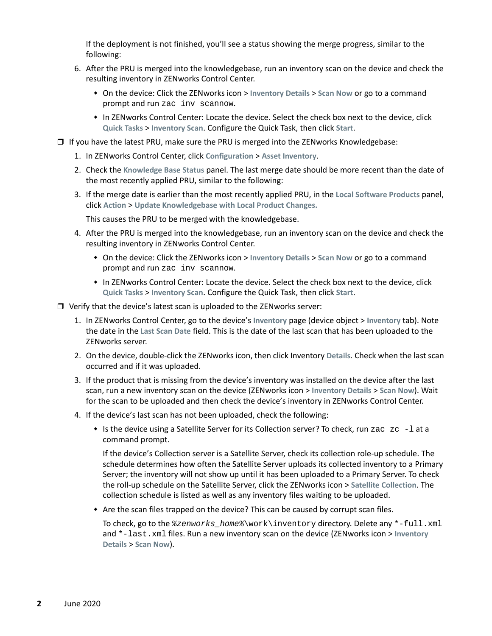If the deployment is not finished, you'll see a status showing the merge progress, similar to the following:

- 6. After the PRU is merged into the knowledgebase, run an inventory scan on the device and check the resulting inventory in ZENworks Control Center.
	- On the device: Click the ZENworks icon > **Inventory Details** > **Scan Now** or go to a command prompt and run zac inv scannow.
	- In ZENworks Control Center: Locate the device. Select the check box next to the device, click **Quick Tasks** > **Inventory Scan**. Configure the Quick Task, then click **Start**.
- $\Box$  If you have the latest PRU, make sure the PRU is merged into the ZENworks Knowledgebase:
	- 1. In ZENworks Control Center, click **Configuration** > **Asset Inventory**.
	- 2. Check the **Knowledge Base Status** panel. The last merge date should be more recent than the date of the most recently applied PRU, similar to the following:
	- 3. If the merge date is earlier than the most recently applied PRU, in the **Local Software Products** panel, click **Action** > **Update Knowledgebase with Local Product Changes.**

This causes the PRU to be merged with the knowledgebase.

- 4. After the PRU is merged into the knowledgebase, run an inventory scan on the device and check the resulting inventory in ZENworks Control Center.
	- On the device: Click the ZENworks icon > **Inventory Details** > **Scan Now** or go to a command prompt and run zac inv scannow.
	- In ZENworks Control Center: Locate the device. Select the check box next to the device, click **Quick Tasks** > **Inventory Scan**. Configure the Quick Task, then click **Start**.
- $\Box$  Verify that the device's latest scan is uploaded to the ZENworks server:
	- 1. In ZENworks Control Center, go to the device's **Inventory** page (device object > **Inventory** tab). Note the date in the **Last Scan Date** field. This is the date of the last scan that has been uploaded to the ZENworks server.
	- 2. On the device, double-click the ZENworks icon, then click Inventory **Details**. Check when the last scan occurred and if it was uploaded.
	- 3. If the product that is missing from the device's inventory was installed on the device after the last scan, run a new inventory scan on the device (ZENworks icon > **Inventory Details** > **Scan Now**). Wait for the scan to be uploaded and then check the device's inventory in ZENworks Control Center.
	- 4. If the device's last scan has not been uploaded, check the following:
		- $\bullet$  Is the device using a Satellite Server for its Collection server? To check, run zac  $z_{\text{c}}$  -1 at a command prompt.

If the device's Collection server is a Satellite Server, check its collection role-up schedule. The schedule determines how often the Satellite Server uploads its collected inventory to a Primary Server; the inventory will not show up until it has been uploaded to a Primary Server. To check the roll-up schedule on the Satellite Server, click the ZENworks icon > **Satellite Collection**. The collection schedule is listed as well as any inventory files waiting to be uploaded.

Are the scan files trapped on the device? This can be caused by corrupt scan files.

To check, go to the *%zenworks\_home%*\work\inventory directory. Delete any \*-full.xml and \*-last.xml files. Run a new inventory scan on the device (ZENworks icon > **Inventory Details** > **Scan Now**).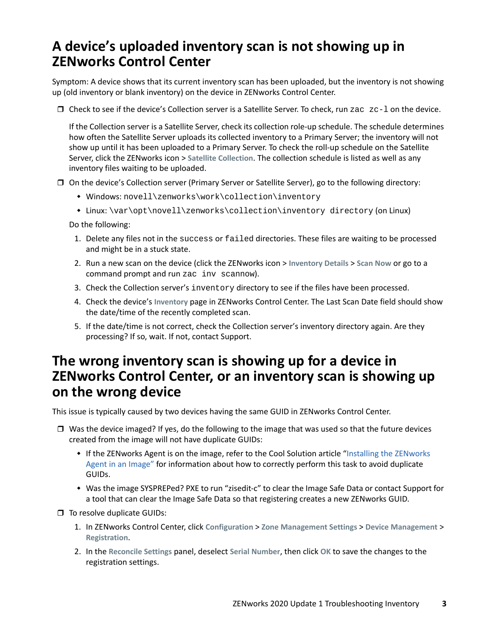# <span id="page-2-0"></span>**A device's uploaded inventory scan is not showing up in ZENworks Control Center**

Symptom: A device shows that its current inventory scan has been uploaded, but the inventory is not showing up (old inventory or blank inventory) on the device in ZENworks Control Center.

Check to see if the device's Collection server is a Satellite Server. To check, run zac zc-l on the device.

If the Collection server is a Satellite Server, check its collection role-up schedule. The schedule determines how often the Satellite Server uploads its collected inventory to a Primary Server; the inventory will not show up until it has been uploaded to a Primary Server. To check the roll-up schedule on the Satellite Server, click the ZENworks icon > **Satellite Collection**. The collection schedule is listed as well as any inventory files waiting to be uploaded.

- On the device's Collection server (Primary Server or Satellite Server), go to the following directory:
	- Windows: novell\zenworks\work\collection\inventory
	- Linux: \var\opt\novell\zenworks\collection\inventory directory (on Linux)

Do the following:

- 1. Delete any files not in the success or failed directories. These files are waiting to be processed and might be in a stuck state.
- 2. Run a new scan on the device (click the ZENworks icon > **Inventory Details** > **Scan Now** or go to a command prompt and run zac inv scannow).
- 3. Check the Collection server's inventory directory to see if the files have been processed.
- 4. Check the device's **Inventory** page in ZENworks Control Center. The Last Scan Date field should show the date/time of the recently completed scan.
- 5. If the date/time is not correct, check the Collection server's inventory directory again. Are they processing? If so, wait. If not, contact Support.

#### <span id="page-2-1"></span>**The wrong inventory scan is showing up for a device in ZENworks Control Center, or an inventory scan is showing up on the wrong device**

This issue is typically caused by two devices having the same GUID in ZENworks Control Center.

- $\Box$  Was the device imaged? If yes, do the following to the image that was used so that the future devices created from the image will not have duplicate GUIDs:
	- If the ZENworks Agent is on the image, refer to the Cool Solution article "[Installing the ZENworks](https://www.novell.com/communities/coolsolutions/cool_tools/zcm-imaging-installing-zen-adaptive-agent-image/)  [Agent in an Image"](https://www.novell.com/communities/coolsolutions/cool_tools/zcm-imaging-installing-zen-adaptive-agent-image/) for information about how to correctly perform this task to avoid duplicate GUIDs.
	- Was the image SYSPREPed? PXE to run "zisedit-c" to clear the Image Safe Data or contact Support for a tool that can clear the Image Safe Data so that registering creates a new ZENworks GUID.

□ To resolve duplicate GUIDs:

- 1. In ZENworks Control Center, click **Configuration** > **Zone Management Settings** > **Device Management** > **Registration**.
- 2. In the **Reconcile Settings** panel, deselect **Serial Number**, then click **OK** to save the changes to the registration settings.